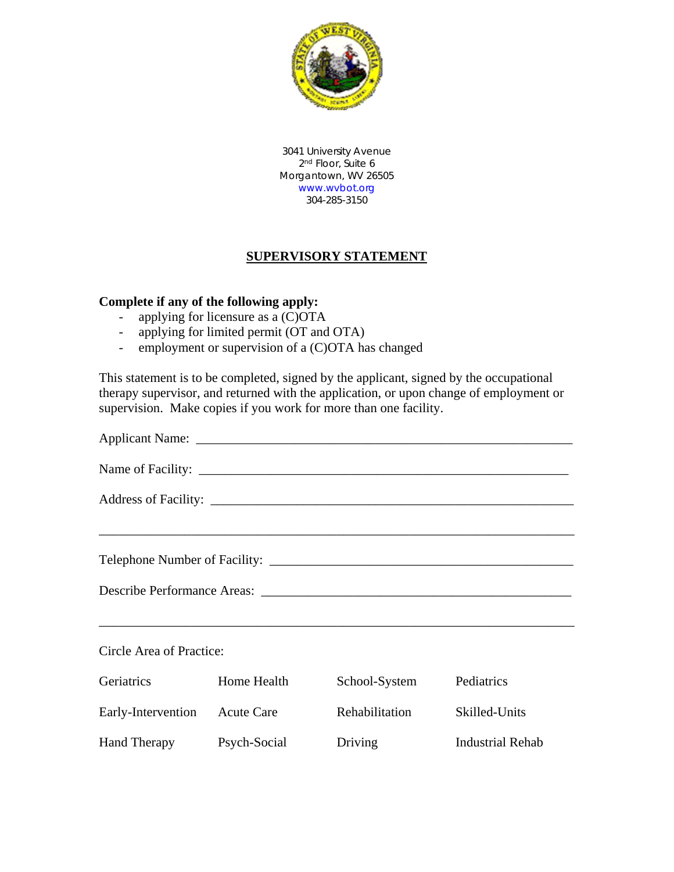

3041 University Avenue 2<sup>nd</sup> Floor, Suite 6 Morgantown, WV 26505 [www.wvbot.org](http://www.wvbot.org/) 304-285-3150

## **SUPERVISORY STATEMENT**

## **Complete if any of the following apply:**

- applying for licensure as a (C)OTA
- applying for limited permit (OT and OTA)
- employment or supervision of a (C)OTA has changed

This statement is to be completed, signed by the applicant, signed by the occupational therapy supervisor, and returned with the application, or upon change of employment or supervision. Make copies if you work for more than one facility.

| ,我们也不能会在这里,我们的人们就会不能会在这里,我们也不能会不能会不能会不能会不能会不能会不能会不能会。""我们的人们就会不能会不能会不能会不能会不能会不能会<br>Circle Area of Practice: |              |                |                         |  |
|--------------------------------------------------------------------------------------------------------------|--------------|----------------|-------------------------|--|
| <b>Geriatrics</b>                                                                                            | Home Health  | School-System  | Pediatrics              |  |
| Early-Intervention Acute Care                                                                                |              | Rehabilitation | Skilled-Units           |  |
| <b>Hand Therapy</b>                                                                                          | Psych-Social | Driving        | <b>Industrial Rehab</b> |  |